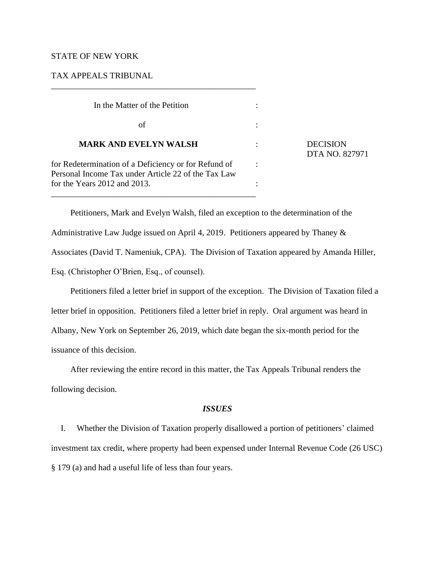## STATE OF NEW YORK

# TAX APPEALS TRIBUNAL

\_\_\_\_\_\_\_\_\_\_\_\_\_\_\_\_\_\_\_\_\_\_\_\_\_\_\_\_\_\_\_\_\_\_\_\_\_\_\_\_\_\_\_\_\_\_\_\_

| In the Matter of the Petition                                                                                                               |  |                                   |
|---------------------------------------------------------------------------------------------------------------------------------------------|--|-----------------------------------|
| of                                                                                                                                          |  |                                   |
| <b>MARK AND EVELYN WALSH</b>                                                                                                                |  | <b>DECISION</b><br>DTA NO. 827971 |
| for Redetermination of a Deficiency or for Refund of<br>Personal Income Tax under Article 22 of the Tax Law<br>for the Years 2012 and 2013. |  |                                   |
|                                                                                                                                             |  |                                   |

Petitioners, Mark and Evelyn Walsh, filed an exception to the determination of the Administrative Law Judge issued on April 4, 2019. Petitioners appeared by Thaney & Associates (David T. Nameniuk, CPA). The Division of Taxation appeared by Amanda Hiller, Esq. (Christopher O'Brien, Esq., of counsel).

Petitioners filed a letter brief in support of the exception. The Division of Taxation filed a letter brief in opposition. Petitioners filed a letter brief in reply. Oral argument was heard in Albany, New York on September 26, 2019, which date began the six-month period for the issuance of this decision.

After reviewing the entire record in this matter, the Tax Appeals Tribunal renders the following decision.

#### *ISSUES*

I. Whether the Division of Taxation properly disallowed a portion of petitioners' claimed investment tax credit, where property had been expensed under Internal Revenue Code (26 USC) § 179 (a) and had a useful life of less than four years.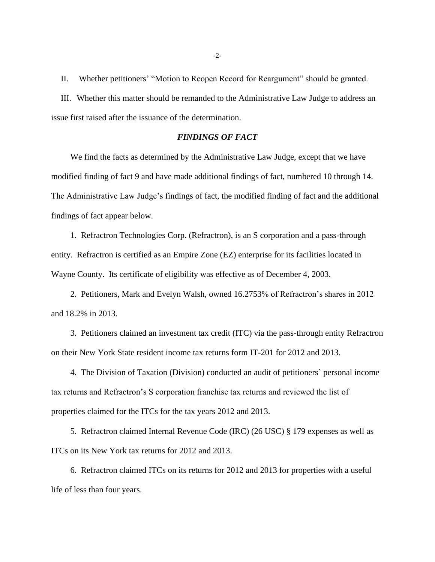II. Whether petitioners' "Motion to Reopen Record for Reargument" should be granted.

III. Whether this matter should be remanded to the Administrative Law Judge to address an issue first raised after the issuance of the determination.

# *FINDINGS OF FACT*

We find the facts as determined by the Administrative Law Judge, except that we have modified finding of fact 9 and have made additional findings of fact, numbered 10 through 14. The Administrative Law Judge's findings of fact, the modified finding of fact and the additional findings of fact appear below.

1. Refractron Technologies Corp. (Refractron), is an S corporation and a pass-through entity. Refractron is certified as an Empire Zone (EZ) enterprise for its facilities located in Wayne County. Its certificate of eligibility was effective as of December 4, 2003.

2. Petitioners, Mark and Evelyn Walsh, owned 16.2753% of Refractron's shares in 2012 and 18.2% in 2013.

3. Petitioners claimed an investment tax credit (ITC) via the pass-through entity Refractron on their New York State resident income tax returns form IT-201 for 2012 and 2013.

4. The Division of Taxation (Division) conducted an audit of petitioners' personal income tax returns and Refractron's S corporation franchise tax returns and reviewed the list of properties claimed for the ITCs for the tax years 2012 and 2013.

5. Refractron claimed Internal Revenue Code (IRC) (26 USC) § 179 expenses as well as ITCs on its New York tax returns for 2012 and 2013.

6. Refractron claimed ITCs on its returns for 2012 and 2013 for properties with a useful life of less than four years.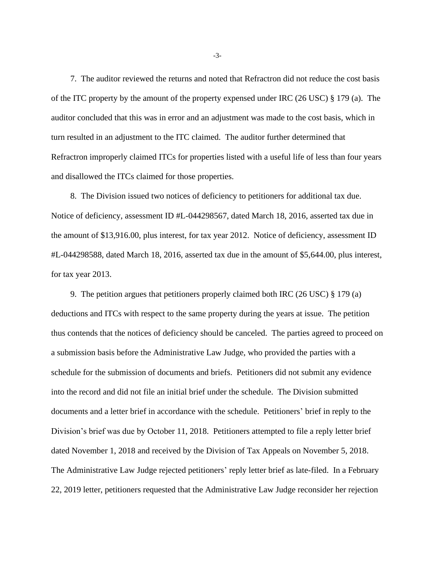7. The auditor reviewed the returns and noted that Refractron did not reduce the cost basis of the ITC property by the amount of the property expensed under IRC (26 USC) § 179 (a). The auditor concluded that this was in error and an adjustment was made to the cost basis, which in turn resulted in an adjustment to the ITC claimed. The auditor further determined that Refractron improperly claimed ITCs for properties listed with a useful life of less than four years and disallowed the ITCs claimed for those properties.

8. The Division issued two notices of deficiency to petitioners for additional tax due. Notice of deficiency, assessment ID #L-044298567, dated March 18, 2016, asserted tax due in the amount of \$13,916.00, plus interest, for tax year 2012. Notice of deficiency, assessment ID #L-044298588, dated March 18, 2016, asserted tax due in the amount of \$5,644.00, plus interest, for tax year 2013.

9. The petition argues that petitioners properly claimed both IRC (26 USC) § 179 (a) deductions and ITCs with respect to the same property during the years at issue. The petition thus contends that the notices of deficiency should be canceled. The parties agreed to proceed on a submission basis before the Administrative Law Judge, who provided the parties with a schedule for the submission of documents and briefs. Petitioners did not submit any evidence into the record and did not file an initial brief under the schedule. The Division submitted documents and a letter brief in accordance with the schedule. Petitioners' brief in reply to the Division's brief was due by October 11, 2018. Petitioners attempted to file a reply letter brief dated November 1, 2018 and received by the Division of Tax Appeals on November 5, 2018. The Administrative Law Judge rejected petitioners' reply letter brief as late-filed. In a February 22, 2019 letter, petitioners requested that the Administrative Law Judge reconsider her rejection

-3-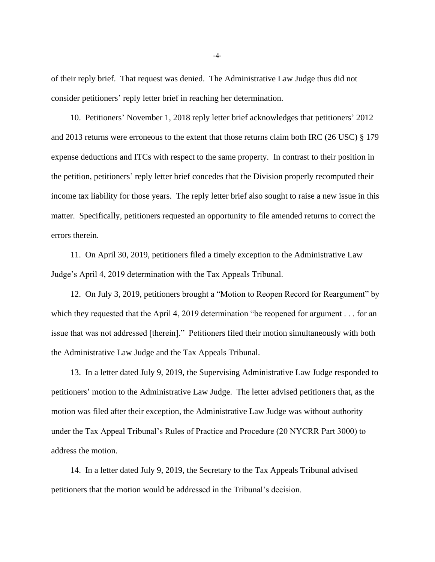of their reply brief. That request was denied. The Administrative Law Judge thus did not consider petitioners' reply letter brief in reaching her determination.

10. Petitioners' November 1, 2018 reply letter brief acknowledges that petitioners' 2012 and 2013 returns were erroneous to the extent that those returns claim both IRC (26 USC) § 179 expense deductions and ITCs with respect to the same property. In contrast to their position in the petition, petitioners' reply letter brief concedes that the Division properly recomputed their income tax liability for those years. The reply letter brief also sought to raise a new issue in this matter. Specifically, petitioners requested an opportunity to file amended returns to correct the errors therein.

11. On April 30, 2019, petitioners filed a timely exception to the Administrative Law Judge's April 4, 2019 determination with the Tax Appeals Tribunal.

12. On July 3, 2019, petitioners brought a "Motion to Reopen Record for Reargument" by which they requested that the April 4, 2019 determination "be reopened for argument . . . for an issue that was not addressed [therein]." Petitioners filed their motion simultaneously with both the Administrative Law Judge and the Tax Appeals Tribunal.

13. In a letter dated July 9, 2019, the Supervising Administrative Law Judge responded to petitioners' motion to the Administrative Law Judge. The letter advised petitioners that, as the motion was filed after their exception, the Administrative Law Judge was without authority under the Tax Appeal Tribunal's Rules of Practice and Procedure (20 NYCRR Part 3000) to address the motion.

14. In a letter dated July 9, 2019, the Secretary to the Tax Appeals Tribunal advised petitioners that the motion would be addressed in the Tribunal's decision.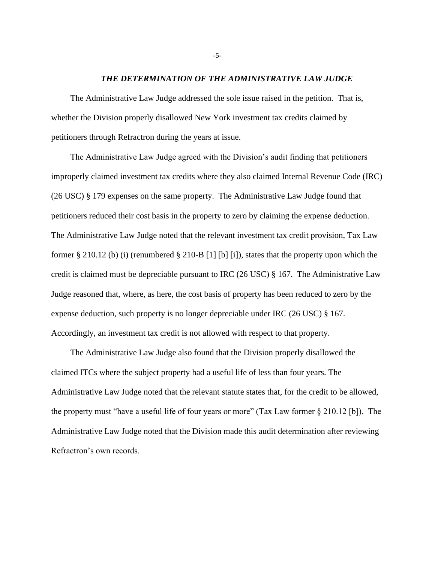#### *THE DETERMINATION OF THE ADMINISTRATIVE LAW JUDGE*

The Administrative Law Judge addressed the sole issue raised in the petition. That is, whether the Division properly disallowed New York investment tax credits claimed by petitioners through Refractron during the years at issue.

The Administrative Law Judge agreed with the Division's audit finding that petitioners improperly claimed investment tax credits where they also claimed Internal Revenue Code (IRC) (26 USC) § 179 expenses on the same property. The Administrative Law Judge found that petitioners reduced their cost basis in the property to zero by claiming the expense deduction. The Administrative Law Judge noted that the relevant investment tax credit provision, Tax Law former § 210.12 (b) (i) (renumbered § 210-B [1] [b] [i]), states that the property upon which the credit is claimed must be depreciable pursuant to IRC (26 USC) § 167. The Administrative Law Judge reasoned that, where, as here, the cost basis of property has been reduced to zero by the expense deduction, such property is no longer depreciable under IRC (26 USC) § 167. Accordingly, an investment tax credit is not allowed with respect to that property.

The Administrative Law Judge also found that the Division properly disallowed the claimed ITCs where the subject property had a useful life of less than four years. The Administrative Law Judge noted that the relevant statute states that, for the credit to be allowed, the property must "have a useful life of four years or more" (Tax Law former § 210.12 [b]). The Administrative Law Judge noted that the Division made this audit determination after reviewing Refractron's own records.

-5-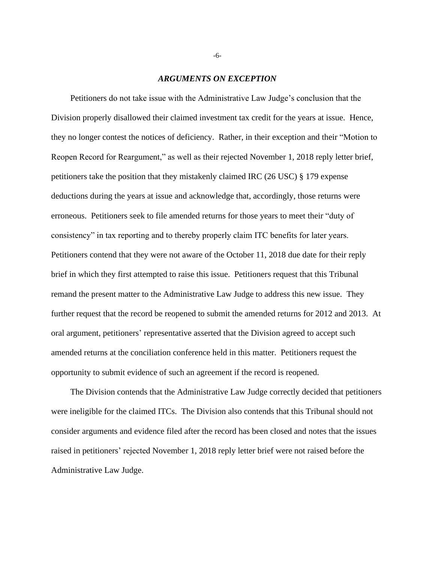### *ARGUMENTS ON EXCEPTION*

Petitioners do not take issue with the Administrative Law Judge's conclusion that the Division properly disallowed their claimed investment tax credit for the years at issue. Hence, they no longer contest the notices of deficiency. Rather, in their exception and their "Motion to Reopen Record for Reargument," as well as their rejected November 1, 2018 reply letter brief, petitioners take the position that they mistakenly claimed IRC (26 USC) § 179 expense deductions during the years at issue and acknowledge that, accordingly, those returns were erroneous. Petitioners seek to file amended returns for those years to meet their "duty of consistency" in tax reporting and to thereby properly claim ITC benefits for later years. Petitioners contend that they were not aware of the October 11, 2018 due date for their reply brief in which they first attempted to raise this issue. Petitioners request that this Tribunal remand the present matter to the Administrative Law Judge to address this new issue. They further request that the record be reopened to submit the amended returns for 2012 and 2013. At oral argument, petitioners' representative asserted that the Division agreed to accept such amended returns at the conciliation conference held in this matter. Petitioners request the opportunity to submit evidence of such an agreement if the record is reopened.

The Division contends that the Administrative Law Judge correctly decided that petitioners were ineligible for the claimed ITCs. The Division also contends that this Tribunal should not consider arguments and evidence filed after the record has been closed and notes that the issues raised in petitioners' rejected November 1, 2018 reply letter brief were not raised before the Administrative Law Judge.

-6-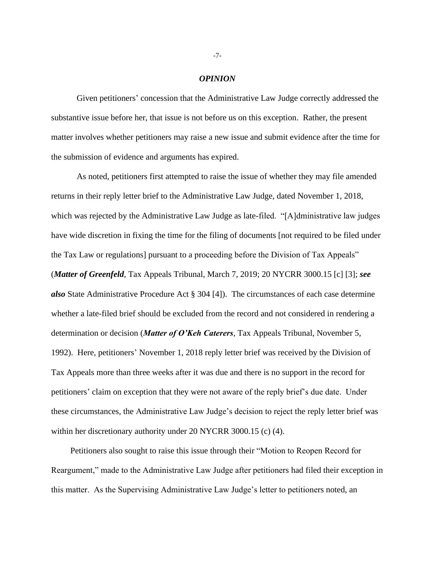#### *OPINION*

Given petitioners' concession that the Administrative Law Judge correctly addressed the substantive issue before her, that issue is not before us on this exception. Rather, the present matter involves whether petitioners may raise a new issue and submit evidence after the time for the submission of evidence and arguments has expired.

As noted, petitioners first attempted to raise the issue of whether they may file amended returns in their reply letter brief to the Administrative Law Judge, dated November 1, 2018, which was rejected by the Administrative Law Judge as late-filed. "[A]dministrative law judges have wide discretion in fixing the time for the filing of documents [not required to be filed under the Tax Law or regulations] pursuant to a proceeding before the Division of Tax Appeals" (*Matter of Greenfeld*, Tax Appeals Tribunal, March 7, 2019; 20 NYCRR 3000.15 [c] [3]; *see also* State Administrative Procedure Act § 304 [4]). The circumstances of each case determine whether a late-filed brief should be excluded from the record and not considered in rendering a determination or decision (*Matter of O'Keh Caterers*, Tax Appeals Tribunal, November 5, 1992). Here, petitioners' November 1, 2018 reply letter brief was received by the Division of Tax Appeals more than three weeks after it was due and there is no support in the record for petitioners' claim on exception that they were not aware of the reply brief's due date. Under these circumstances, the Administrative Law Judge's decision to reject the reply letter brief was within her discretionary authority under 20 NYCRR 3000.15 (c) (4).

Petitioners also sought to raise this issue through their "Motion to Reopen Record for Reargument," made to the Administrative Law Judge after petitioners had filed their exception in this matter. As the Supervising Administrative Law Judge's letter to petitioners noted, an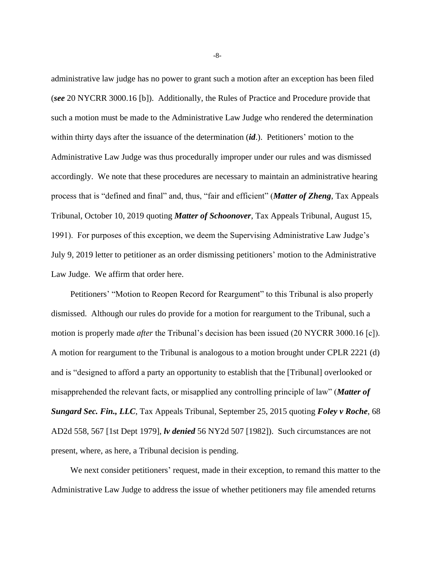administrative law judge has no power to grant such a motion after an exception has been filed (*see* 20 NYCRR 3000.16 [b]). Additionally, the Rules of Practice and Procedure provide that such a motion must be made to the Administrative Law Judge who rendered the determination within thirty days after the issuance of the determination (*id*.). Petitioners' motion to the Administrative Law Judge was thus procedurally improper under our rules and was dismissed accordingly. We note that these procedures are necessary to maintain an administrative hearing process that is "defined and final" and, thus, "fair and efficient" (*Matter of Zheng*, Tax Appeals Tribunal, October 10, 2019 quoting *Matter of Schoonover*, Tax Appeals Tribunal, August 15, 1991). For purposes of this exception, we deem the Supervising Administrative Law Judge's July 9, 2019 letter to petitioner as an order dismissing petitioners' motion to the Administrative Law Judge. We affirm that order here.

Petitioners' "Motion to Reopen Record for Reargument" to this Tribunal is also properly dismissed. Although our rules do provide for a motion for reargument to the Tribunal, such a motion is properly made *after* the Tribunal's decision has been issued (20 NYCRR 3000.16 [c]). A motion for reargument to the Tribunal is analogous to a motion brought under CPLR 2221 (d) and is "designed to afford a party an opportunity to establish that the [Tribunal] overlooked or misapprehended the relevant facts, or misapplied any controlling principle of law" (*Matter of Sungard Sec. Fin., LLC*, Tax Appeals Tribunal, September 25, 2015 quoting *Foley v Roche*, 68 AD2d 558, 567 [1st Dept 1979], *lv denied* 56 NY2d 507 [1982]). Such circumstances are not present, where, as here, a Tribunal decision is pending.

We next consider petitioners' request, made in their exception, to remand this matter to the Administrative Law Judge to address the issue of whether petitioners may file amended returns

-8-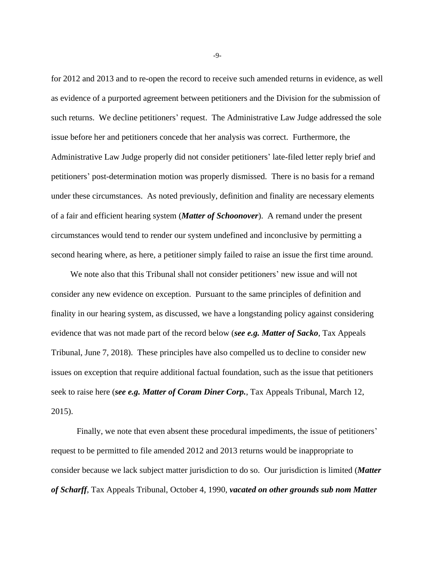for 2012 and 2013 and to re-open the record to receive such amended returns in evidence, as well as evidence of a purported agreement between petitioners and the Division for the submission of such returns. We decline petitioners' request. The Administrative Law Judge addressed the sole issue before her and petitioners concede that her analysis was correct. Furthermore, the Administrative Law Judge properly did not consider petitioners' late-filed letter reply brief and petitioners' post-determination motion was properly dismissed. There is no basis for a remand under these circumstances. As noted previously, definition and finality are necessary elements of a fair and efficient hearing system (*Matter of Schoonover*). A remand under the present circumstances would tend to render our system undefined and inconclusive by permitting a second hearing where, as here, a petitioner simply failed to raise an issue the first time around.

We note also that this Tribunal shall not consider petitioners' new issue and will not consider any new evidence on exception. Pursuant to the same principles of definition and finality in our hearing system, as discussed, we have a longstanding policy against considering evidence that was not made part of the record below (*see e.g. Matter of Sacko*, Tax Appeals Tribunal, June 7, 2018). These principles have also compelled us to decline to consider new issues on exception that require additional factual foundation, such as the issue that petitioners seek to raise here (*see e.g. Matter of Coram Diner Corp.*, Tax Appeals Tribunal, March 12, 2015).

Finally, we note that even absent these procedural impediments, the issue of petitioners' request to be permitted to file amended 2012 and 2013 returns would be inappropriate to consider because we lack subject matter jurisdiction to do so. Our jurisdiction is limited (*Matter of Scharff*, Tax Appeals Tribunal, October 4, 1990, *vacated on other grounds sub nom Matter* 

-9-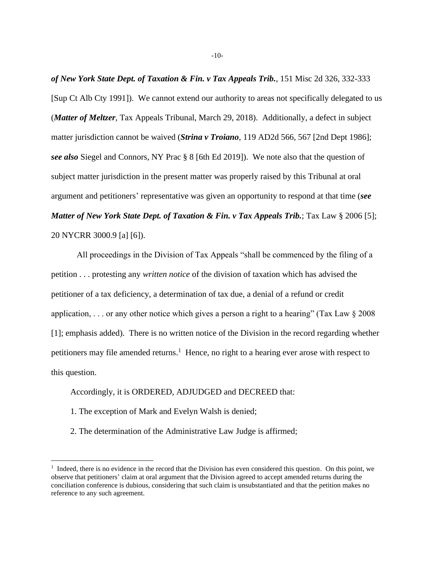*of New York State Dept. of Taxation & Fin. v Tax Appeals Trib.*, 151 Misc 2d 326, 332-333 [Sup Ct Alb Cty 1991]). We cannot extend our authority to areas not specifically delegated to us (*Matter of Meltzer*, Tax Appeals Tribunal, March 29, 2018). Additionally, a defect in subject matter jurisdiction cannot be waived (*Strina v Troiano*, 119 AD2d 566, 567 [2nd Dept 1986]; *see also* Siegel and Connors, NY Prac § 8 [6th Ed 2019]). We note also that the question of subject matter jurisdiction in the present matter was properly raised by this Tribunal at oral argument and petitioners' representative was given an opportunity to respond at that time (*see Matter of New York State Dept. of Taxation & Fin. v Tax Appeals Trib.*; Tax Law § 2006 [5]; 20 NYCRR 3000.9 [a] [6]).

All proceedings in the Division of Tax Appeals "shall be commenced by the filing of a petition . . . protesting any *written notice* of the division of taxation which has advised the petitioner of a tax deficiency, a determination of tax due, a denial of a refund or credit application, ... or any other notice which gives a person a right to a hearing" (Tax Law  $\S 2008$ ) [1]; emphasis added). There is no written notice of the Division in the record regarding whether petitioners may file amended returns.<sup>1</sup> Hence, no right to a hearing ever arose with respect to this question.

# Accordingly, it is ORDERED, ADJUDGED and DECREED that:

- 1. The exception of Mark and Evelyn Walsh is denied;
- 2. The determination of the Administrative Law Judge is affirmed;

<sup>&</sup>lt;sup>1</sup> Indeed, there is no evidence in the record that the Division has even considered this question. On this point, we observe that petitioners' claim at oral argument that the Division agreed to accept amended returns during the conciliation conference is dubious, considering that such claim is unsubstantiated and that the petition makes no reference to any such agreement.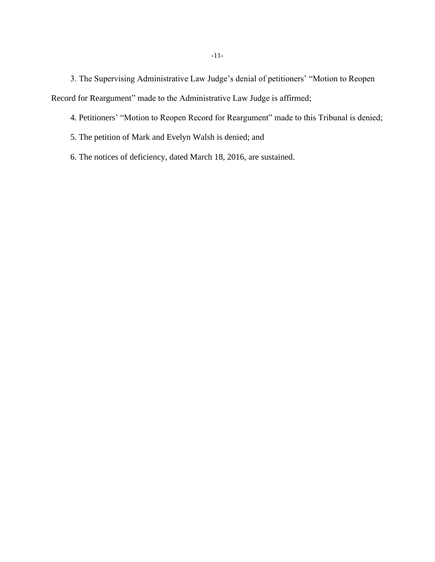3. The Supervising Administrative Law Judge's denial of petitioners' "Motion to Reopen Record for Reargument" made to the Administrative Law Judge is affirmed;

4. Petitioners' "Motion to Reopen Record for Reargument" made to this Tribunal is denied;

- 5. The petition of Mark and Evelyn Walsh is denied; and
- 6. The notices of deficiency, dated March 18, 2016, are sustained.